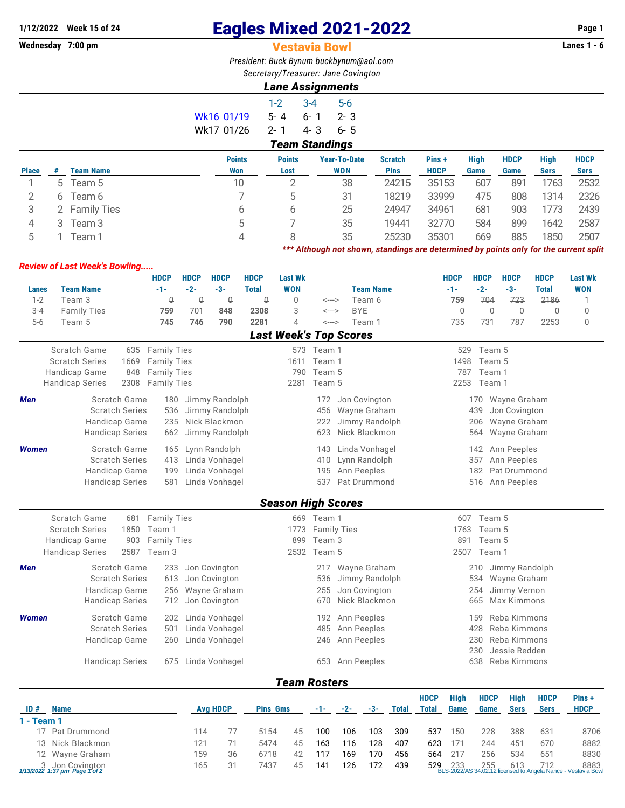## **1/12/2022** Week 15 of 24 **Eagles Mixed 2021-2022** Page 1<br>**Westavia Bowl** West and Material Bowl Lanes 1 - 6

**Wednesday 7:00 pm** Vestavia Bowl **Lanes 1 - 6**

*President: Buck Bynum [buckbynum@aol.com](mailto:buckbynum@aol.com) Secretary/Treasurer: Jane Covington*

## *Lane Assignments*

4 3 Team 3 5 7 35 19441 32770 584 899 1642 2587 5 1 Team 1 4 8 35 25230 35301 669 885 1850 2507

*\*\*\* Although not shown, standings are determined by points only for the current split*

|              |   |                  |               | $1 - 2$       | $3 - 4$               | $5-6$               |                |             |             |             |             |             |
|--------------|---|------------------|---------------|---------------|-----------------------|---------------------|----------------|-------------|-------------|-------------|-------------|-------------|
|              |   |                  | Wk16 01/19    | $5 - 4$       | $6 - 1$               | $2 - 3$             |                |             |             |             |             |             |
|              |   |                  | Wk17 01/26    | $2 - 1$       | 4-3                   | $6 - 5$             |                |             |             |             |             |             |
|              |   |                  |               |               | <b>Team Standings</b> |                     |                |             |             |             |             |             |
|              |   |                  | <b>Points</b> | <b>Points</b> |                       | <b>Year-To-Date</b> | <b>Scratch</b> | Pins+       | <b>High</b> | <b>HDCP</b> | <b>High</b> | <b>HDCP</b> |
| <b>Place</b> | # | <b>Team Name</b> | Won           | Lost          |                       | <b>WON</b>          | <b>Pins</b>    | <b>HDCP</b> | Game        | Game        | <b>Sers</b> | <b>Sers</b> |
|              |   | 5 Team 5         | 10            | ↷             |                       | 38                  | 24215          | 35153       | 607         | 891         | 1763        | 2532        |
| 2            | 6 | Team 6           |               | b.            |                       | 31                  | 18219          | 33999       | 475         | 808         | 1314        | 2326        |
|              |   | 2 Family Ties    | 6             | 6             |                       | 25                  | 24947          | 34961       | 681         | 903         | 1773        | 2439        |
|              |   |                  |               |               |                       |                     |                |             |             |             |             |             |

## *Review of Last Week's Bowling.....*

|                                     |                                       | <b>HDCP</b>        | <b>HDCP</b> | <b>HDCP</b>                      | <b>HDCP</b>     | <b>Last Wk</b>                |                            |       |                               |              |              | <b>HDCP</b> | <b>HDCP</b> | <b>HDCP</b>                   | <b>HDCP</b>  | <b>Last Wk</b> |
|-------------------------------------|---------------------------------------|--------------------|-------------|----------------------------------|-----------------|-------------------------------|----------------------------|-------|-------------------------------|--------------|--------------|-------------|-------------|-------------------------------|--------------|----------------|
| Lanes                               | <b>Team Name</b>                      | $-1-$              | $-2-$       | $-3-$                            | <b>Total</b>    | <b>WON</b>                    |                            |       | <b>Team Name</b>              |              |              | $-1-$       | $-2-$       | $-3-$                         | <b>Total</b> | <b>WON</b>     |
| $1 - 2$                             | Team <sub>3</sub>                     | $\mathsf{Q}$       | $\theta$    | $\mathbb Q$                      | $\Theta$        | 0                             | $\leftarrow$ $\rightarrow$ |       | Team 6                        |              |              | 759         | 704         | 723                           | 2186         | $\mathbf{1}$   |
| $3 - 4$                             | <b>Family Ties</b>                    | 759                | 701         | 848                              | 2308            | 3                             | $\leftarrow$ $\rightarrow$ |       | <b>BYE</b>                    |              |              | $\mathbf 0$ | $\mathbf 0$ | $\mathbf 0$                   | $\mathbf 0$  | $\mathbf 0$    |
| $5 - 6$                             | Team 5                                | 745                | 746         | 790                              | 2281            | 4                             | <--->                      |       | Team 1                        |              |              | 735         | 731         | 787                           | 2253         | $\mathbf 0$    |
|                                     |                                       |                    |             |                                  |                 | <b>Last Week's Top Scores</b> |                            |       |                               |              |              |             |             |                               |              |                |
|                                     | Scratch Game<br>635                   | <b>Family Ties</b> |             |                                  |                 |                               | 573 Team 1                 |       |                               |              |              | 529         | Team 5      |                               |              |                |
|                                     | <b>Scratch Series</b><br>1669         | <b>Family Ties</b> |             |                                  |                 | 1611                          | Team 1                     |       |                               |              |              | 1498        | Team 5      |                               |              |                |
|                                     | <b>Handicap Game</b><br>848           | <b>Family Ties</b> |             |                                  |                 | 790                           | Team 5                     |       |                               |              |              | 787         | Team 1      |                               |              |                |
|                                     | <b>Handicap Series</b><br>2308        | <b>Family Ties</b> |             |                                  |                 | 2281                          | Team 5                     |       |                               |              |              |             | 2253 Team 1 |                               |              |                |
| Men                                 |                                       |                    |             |                                  |                 |                               |                            |       |                               |              |              |             |             |                               |              |                |
|                                     | Scratch Game<br><b>Scratch Series</b> | 180                |             | Jimmy Randolph<br>Jimmy Randolph |                 |                               | 172                        |       | Jon Covington<br>Wayne Graham |              |              |             | 170<br>439  | Wayne Graham<br>Jon Covington |              |                |
|                                     |                                       | 536                |             |                                  |                 |                               | 456                        |       |                               |              |              |             |             |                               |              |                |
|                                     | <b>Handicap Game</b>                  | 235                |             | Nick Blackmon                    |                 |                               | 222                        |       | Jimmy Randolph                |              |              |             | 206         | Wayne Graham                  |              |                |
|                                     | <b>Handicap Series</b>                | 662                |             | Jimmy Randolph                   |                 |                               | 623                        |       | Nick Blackmon                 |              |              |             | 564         | Wayne Graham                  |              |                |
| Scratch Game<br><b>Women</b><br>165 |                                       |                    |             | Lynn Randolph                    |                 |                               | 143                        |       | Linda Vonhagel                |              |              |             | 142         | Ann Peeples                   |              |                |
|                                     | <b>Scratch Series</b>                 | 413                |             | Linda Vonhagel                   |                 |                               | 410                        |       | Lynn Randolph                 |              |              |             | 357         | Ann Peeples                   |              |                |
|                                     | Handicap Game                         | 199                |             | Linda Vonhagel                   |                 |                               | 195                        |       | Ann Peeples                   |              |              |             | 182         | Pat Drummond                  |              |                |
|                                     | <b>Handicap Series</b>                | 581                |             | Linda Vonhagel                   |                 |                               | 537                        |       | Pat Drummond                  |              |              |             | 516         | Ann Peeples                   |              |                |
|                                     |                                       |                    |             |                                  |                 |                               |                            |       |                               |              |              |             |             |                               |              |                |
|                                     |                                       |                    |             |                                  |                 | <b>Season High Scores</b>     |                            |       |                               |              |              |             |             |                               |              |                |
|                                     | Scratch Game<br>681                   | <b>Family Ties</b> |             |                                  |                 |                               | 669 Team 1                 |       |                               |              |              | 607         | Team 5      |                               |              |                |
|                                     | <b>Scratch Series</b><br>1850         | Team 1             |             |                                  |                 |                               | 1773 Family Ties           |       |                               |              |              | 1763        | Team 5      |                               |              |                |
|                                     | Handicap Game<br>903                  | <b>Family Ties</b> |             |                                  |                 | 899                           | Team 3                     |       |                               |              |              | 891         | Team 5      |                               |              |                |
|                                     | 2587<br><b>Handicap Series</b>        | Team 3             |             |                                  |                 | 2532                          | Team 5                     |       |                               |              |              | 2507        | Team 1      |                               |              |                |
| Men                                 | Scratch Game                          | 233                |             | Jon Covington                    |                 |                               | 217                        |       | Wayne Graham                  |              |              |             | 210         | Jimmy Randolph                |              |                |
|                                     | <b>Scratch Series</b>                 | 613                |             | Jon Covington                    |                 |                               | 536                        |       | Jimmy Randolph                |              |              |             | 534         | Wayne Graham                  |              |                |
|                                     | Handicap Game                         | 256                |             | Wayne Graham                     |                 |                               | 255                        |       | Jon Covington                 |              |              |             | 254         | Jimmy Vernon                  |              |                |
|                                     | <b>Handicap Series</b>                | 712                |             | Jon Covington                    |                 |                               | 670                        |       | Nick Blackmon                 |              |              |             | 665         | Max Kimmons                   |              |                |
| <b>Women</b>                        | Scratch Game                          | 202                |             | Linda Vonhagel                   |                 |                               | 192                        |       | Ann Peeples                   |              |              |             | 159         | Reba Kimmons                  |              |                |
|                                     | <b>Scratch Series</b>                 | 501                |             | Linda Vonhagel                   |                 |                               | 485                        |       | Ann Peeples                   |              |              |             | 428         | Reba Kimmons                  |              |                |
|                                     | Handicap Game                         | 260                |             | Linda Vonhagel                   |                 |                               | 246                        |       | Ann Peeples                   |              |              |             | 230         | Reba Kimmons                  |              |                |
|                                     |                                       |                    |             |                                  |                 |                               |                            |       |                               |              |              |             | 230         | Jessie Redden                 |              |                |
|                                     | <b>Handicap Series</b>                | 675                |             | Linda Vonhagel                   |                 |                               |                            |       | 653 Ann Peeples               |              |              |             | 638         | Reba Kimmons                  |              |                |
|                                     |                                       |                    |             |                                  |                 |                               |                            |       |                               |              |              |             |             |                               |              |                |
|                                     |                                       |                    |             |                                  |                 | <b>Team Rosters</b>           |                            |       |                               |              |              |             |             |                               |              |                |
|                                     |                                       |                    |             |                                  |                 |                               |                            |       |                               |              | <b>HDCP</b>  | <b>High</b> | <b>HDCP</b> | <b>High</b>                   | <b>HDCP</b>  | Pins+          |
| ID#                                 | <b>Name</b>                           |                    |             | <b>Avg HDCP</b>                  | <b>Pins Gms</b> |                               | -1-                        | $-2-$ | -3-                           | <b>Total</b> | <b>Total</b> | Game        | Game        | <b>Sers</b>                   | <b>Sers</b>  | <b>HDCP</b>    |
| 1 - Team 1                          |                                       |                    |             |                                  |                 |                               |                            |       |                               |              |              |             |             |                               |              |                |
|                                     | 17 Pat Drummond                       |                    | 114         | 77                               | 5154            | 45                            | 100                        | 106   | 103                           | 309          | 537          | 150         | 228         | 388                           | 631          | 8706           |
|                                     | 13 Nick Blackmon                      |                    | 121         | 71                               | 5474            | 45                            | 163                        | 116   | 128                           | 407          | 623          | 171         | 244         | 451                           | 670          | 8882           |

12 Wayne Graham 159 36 6718 42 117 169 170 456 564 217 256 534 651 8830